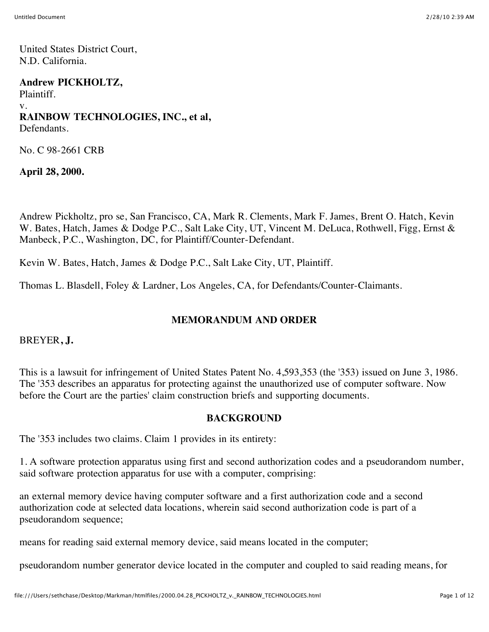United States District Court, N.D. California.

#### **Andrew PICKHOLTZ,**

Plaintiff. v. **RAINBOW TECHNOLOGIES, INC., et al,** Defendants.

No. C 98-2661 CRB

**April 28, 2000.**

Andrew Pickholtz, pro se, San Francisco, CA, Mark R. Clements, Mark F. James, Brent O. Hatch, Kevin W. Bates, Hatch, James & Dodge P.C., Salt Lake City, UT, Vincent M. DeLuca, Rothwell, Figg, Ernst & Manbeck, P.C., Washington, DC, for Plaintiff/Counter-Defendant.

Kevin W. Bates, Hatch, James & Dodge P.C., Salt Lake City, UT, Plaintiff.

Thomas L. Blasdell, Foley & Lardner, Los Angeles, CA, for Defendants/Counter-Claimants.

### **MEMORANDUM AND ORDER**

#### BREYER**, J.**

This is a lawsuit for infringement of United States Patent No. 4,593,353 (the '353) issued on June 3, 1986. The '353 describes an apparatus for protecting against the unauthorized use of computer software. Now before the Court are the parties' claim construction briefs and supporting documents.

#### **BACKGROUND**

The '353 includes two claims. Claim 1 provides in its entirety:

1. A software protection apparatus using first and second authorization codes and a pseudorandom number, said software protection apparatus for use with a computer, comprising:

an external memory device having computer software and a first authorization code and a second authorization code at selected data locations, wherein said second authorization code is part of a pseudorandom sequence;

means for reading said external memory device, said means located in the computer;

pseudorandom number generator device located in the computer and coupled to said reading means, for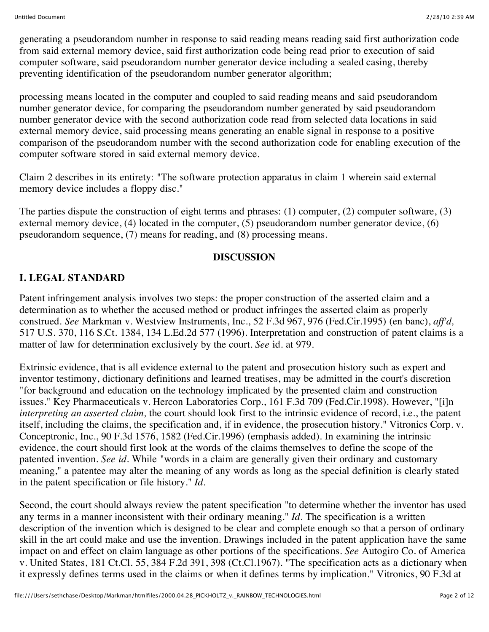generating a pseudorandom number in response to said reading means reading said first authorization code from said external memory device, said first authorization code being read prior to execution of said computer software, said pseudorandom number generator device including a sealed casing, thereby preventing identification of the pseudorandom number generator algorithm;

processing means located in the computer and coupled to said reading means and said pseudorandom number generator device, for comparing the pseudorandom number generated by said pseudorandom number generator device with the second authorization code read from selected data locations in said external memory device, said processing means generating an enable signal in response to a positive comparison of the pseudorandom number with the second authorization code for enabling execution of the computer software stored in said external memory device.

Claim 2 describes in its entirety: "The software protection apparatus in claim 1 wherein said external memory device includes a floppy disc."

The parties dispute the construction of eight terms and phrases: (1) computer, (2) computer software, (3) external memory device, (4) located in the computer, (5) pseudorandom number generator device, (6) pseudorandom sequence, (7) means for reading, and (8) processing means.

### **DISCUSSION**

# **I. LEGAL STANDARD**

Patent infringement analysis involves two steps: the proper construction of the asserted claim and a determination as to whether the accused method or product infringes the asserted claim as properly construed. *See* Markman v. Westview Instruments, Inc., 52 F.3d 967, 976 (Fed.Cir.1995) (en banc), *aff'd,* 517 U.S. 370, 116 S.Ct. 1384, 134 L.Ed.2d 577 (1996). Interpretation and construction of patent claims is a matter of law for determination exclusively by the court. *See* id. at 979.

Extrinsic evidence, that is all evidence external to the patent and prosecution history such as expert and inventor testimony, dictionary definitions and learned treatises, may be admitted in the court's discretion "for background and education on the technology implicated by the presented claim and construction issues." Key Pharmaceuticals v. Hercon Laboratories Corp., 161 F.3d 709 (Fed.Cir.1998). However, "[i]n *interpreting an asserted claim,* the court should look first to the intrinsic evidence of record, i.e., the patent itself, including the claims, the specification and, if in evidence, the prosecution history." Vitronics Corp. v. Conceptronic, Inc., 90 F.3d 1576, 1582 (Fed.Cir.1996) (emphasis added). In examining the intrinsic evidence, the court should first look at the words of the claims themselves to define the scope of the patented invention. *See id.* While "words in a claim are generally given their ordinary and customary meaning," a patentee may alter the meaning of any words as long as the special definition is clearly stated in the patent specification or file history." *Id.*

Second, the court should always review the patent specification "to determine whether the inventor has used any terms in a manner inconsistent with their ordinary meaning." *Id.* The specification is a written description of the invention which is designed to be clear and complete enough so that a person of ordinary skill in the art could make and use the invention. Drawings included in the patent application have the same impact on and effect on claim language as other portions of the specifications. *See* Autogiro Co. of America v. United States, 181 Ct.Cl. 55, 384 F.2d 391, 398 (Ct.Cl.1967). "The specification acts as a dictionary when it expressly defines terms used in the claims or when it defines terms by implication." Vitronics, 90 F.3d at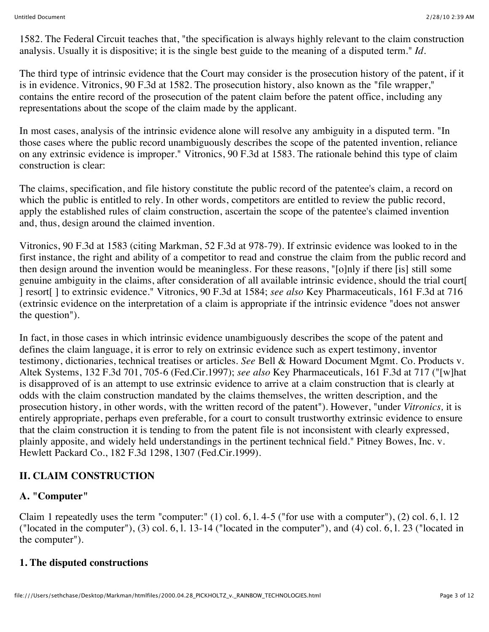1582. The Federal Circuit teaches that, "the specification is always highly relevant to the claim construction analysis. Usually it is dispositive; it is the single best guide to the meaning of a disputed term." *Id.*

The third type of intrinsic evidence that the Court may consider is the prosecution history of the patent, if it is in evidence. Vitronics, 90 F.3d at 1582. The prosecution history, also known as the "file wrapper," contains the entire record of the prosecution of the patent claim before the patent office, including any representations about the scope of the claim made by the applicant.

In most cases, analysis of the intrinsic evidence alone will resolve any ambiguity in a disputed term. "In those cases where the public record unambiguously describes the scope of the patented invention, reliance on any extrinsic evidence is improper." Vitronics, 90 F.3d at 1583. The rationale behind this type of claim construction is clear:

The claims, specification, and file history constitute the public record of the patentee's claim, a record on which the public is entitled to rely. In other words, competitors are entitled to review the public record, apply the established rules of claim construction, ascertain the scope of the patentee's claimed invention and, thus, design around the claimed invention.

Vitronics, 90 F.3d at 1583 (citing Markman, 52 F.3d at 978-79). If extrinsic evidence was looked to in the first instance, the right and ability of a competitor to read and construe the claim from the public record and then design around the invention would be meaningless. For these reasons, "[o]nly if there [is] still some genuine ambiguity in the claims, after consideration of all available intrinsic evidence, should the trial court[ ] resort[ ] to extrinsic evidence." Vitronics, 90 F.3d at 1584; *see also* Key Pharmaceuticals, 161 F.3d at 716 (extrinsic evidence on the interpretation of a claim is appropriate if the intrinsic evidence "does not answer the question").

In fact, in those cases in which intrinsic evidence unambiguously describes the scope of the patent and defines the claim language, it is error to rely on extrinsic evidence such as expert testimony, inventor testimony, dictionaries, technical treatises or articles. *See* Bell & Howard Document Mgmt. Co. Products v. Altek Systems, 132 F.3d 701, 705-6 (Fed.Cir.1997); *see also* Key Pharmaceuticals, 161 F.3d at 717 ("[w]hat is disapproved of is an attempt to use extrinsic evidence to arrive at a claim construction that is clearly at odds with the claim construction mandated by the claims themselves, the written description, and the prosecution history, in other words, with the written record of the patent"). However, "under *Vitronics,* it is entirely appropriate, perhaps even preferable, for a court to consult trustworthy extrinsic evidence to ensure that the claim construction it is tending to from the patent file is not inconsistent with clearly expressed, plainly apposite, and widely held understandings in the pertinent technical field." Pitney Bowes, Inc. v. Hewlett Packard Co., 182 F.3d 1298, 1307 (Fed.Cir.1999).

# **II. CLAIM CONSTRUCTION**

# **A. "Computer"**

Claim 1 repeatedly uses the term "computer:" (1) col. 6, l. 4-5 ("for use with a computer"), (2) col. 6, l. 12 ("located in the computer"),  $(3)$  col. 6, 1. 13-14 ("located in the computer"), and  $(4)$  col. 6, 1. 23 ("located in the computer").

# **1. The disputed constructions**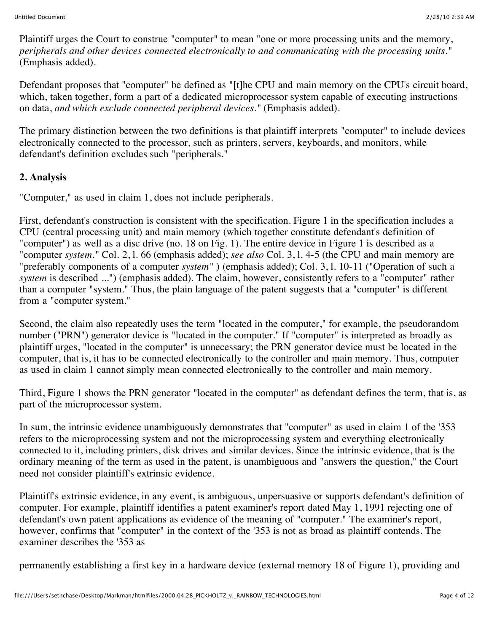Plaintiff urges the Court to construe "computer" to mean "one or more processing units and the memory, *peripherals and other devices connected electronically to and communicating with the processing units."* (Emphasis added).

Defendant proposes that "computer" be defined as "[t]he CPU and main memory on the CPU's circuit board, which, taken together, form a part of a dedicated microprocessor system capable of executing instructions on data, *and which exclude connected peripheral devices."* (Emphasis added).

The primary distinction between the two definitions is that plaintiff interprets "computer" to include devices electronically connected to the processor, such as printers, servers, keyboards, and monitors, while defendant's definition excludes such "peripherals."

## **2. Analysis**

"Computer," as used in claim 1, does not include peripherals.

First, defendant's construction is consistent with the specification. Figure 1 in the specification includes a CPU (central processing unit) and main memory (which together constitute defendant's definition of "computer") as well as a disc drive (no. 18 on Fig. 1). The entire device in Figure 1 is described as a "computer *system."* Col. 2, l. 66 (emphasis added); *see also* Col. 3, l. 4-5 (the CPU and main memory are "preferably components of a computer *system"* ) (emphasis added); Col. 3, l. 10-11 ("Operation of such a *system* is described ...") (emphasis added). The claim, however, consistently refers to a "computer" rather than a computer "system." Thus, the plain language of the patent suggests that a "computer" is different from a "computer system."

Second, the claim also repeatedly uses the term "located in the computer," for example, the pseudorandom number ("PRN") generator device is "located in the computer." If "computer" is interpreted as broadly as plaintiff urges, "located in the computer" is unnecessary; the PRN generator device must be located in the computer, that is, it has to be connected electronically to the controller and main memory. Thus, computer as used in claim 1 cannot simply mean connected electronically to the controller and main memory.

Third, Figure 1 shows the PRN generator "located in the computer" as defendant defines the term, that is, as part of the microprocessor system.

In sum, the intrinsic evidence unambiguously demonstrates that "computer" as used in claim 1 of the '353 refers to the microprocessing system and not the microprocessing system and everything electronically connected to it, including printers, disk drives and similar devices. Since the intrinsic evidence, that is the ordinary meaning of the term as used in the patent, is unambiguous and "answers the question," the Court need not consider plaintiff's extrinsic evidence.

Plaintiff's extrinsic evidence, in any event, is ambiguous, unpersuasive or supports defendant's definition of computer. For example, plaintiff identifies a patent examiner's report dated May 1, 1991 rejecting one of defendant's own patent applications as evidence of the meaning of "computer." The examiner's report, however, confirms that "computer" in the context of the '353 is not as broad as plaintiff contends. The examiner describes the '353 as

permanently establishing a first key in a hardware device (external memory 18 of Figure 1), providing and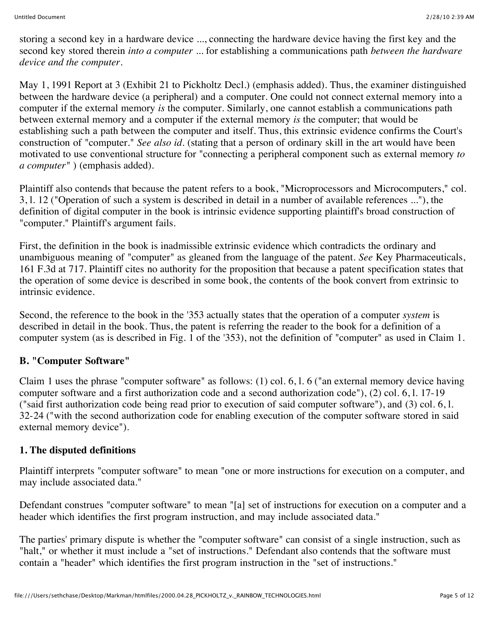storing a second key in a hardware device ..., connecting the hardware device having the first key and the second key stored therein *into a computer* ... for establishing a communications path *between the hardware device and the computer.*

May 1, 1991 Report at 3 (Exhibit 21 to Pickholtz Decl.) (emphasis added). Thus, the examiner distinguished between the hardware device (a peripheral) and a computer. One could not connect external memory into a computer if the external memory *is* the computer. Similarly, one cannot establish a communications path between external memory and a computer if the external memory *is* the computer; that would be establishing such a path between the computer and itself. Thus, this extrinsic evidence confirms the Court's construction of "computer." *See also id.* (stating that a person of ordinary skill in the art would have been motivated to use conventional structure for "connecting a peripheral component such as external memory *to a computer"* ) (emphasis added).

Plaintiff also contends that because the patent refers to a book, "Microprocessors and Microcomputers," col. 3, l. 12 ("Operation of such a system is described in detail in a number of available references ..."), the definition of digital computer in the book is intrinsic evidence supporting plaintiff's broad construction of "computer." Plaintiff's argument fails.

First, the definition in the book is inadmissible extrinsic evidence which contradicts the ordinary and unambiguous meaning of "computer" as gleaned from the language of the patent. *See* Key Pharmaceuticals, 161 F.3d at 717. Plaintiff cites no authority for the proposition that because a patent specification states that the operation of some device is described in some book, the contents of the book convert from extrinsic to intrinsic evidence.

Second, the reference to the book in the '353 actually states that the operation of a computer *system* is described in detail in the book. Thus, the patent is referring the reader to the book for a definition of a computer system (as is described in Fig. 1 of the '353), not the definition of "computer" as used in Claim 1.

### **B. "Computer Software"**

Claim 1 uses the phrase "computer software" as follows: (1) col. 6, l. 6 ("an external memory device having computer software and a first authorization code and a second authorization code"), (2) col. 6, l. 17-19 ("said first authorization code being read prior to execution of said computer software"), and (3) col. 6, l. 32-24 ("with the second authorization code for enabling execution of the computer software stored in said external memory device").

### **1. The disputed definitions**

Plaintiff interprets "computer software" to mean "one or more instructions for execution on a computer, and may include associated data."

Defendant construes "computer software" to mean "[a] set of instructions for execution on a computer and a header which identifies the first program instruction, and may include associated data."

The parties' primary dispute is whether the "computer software" can consist of a single instruction, such as "halt," or whether it must include a "set of instructions." Defendant also contends that the software must contain a "header" which identifies the first program instruction in the "set of instructions."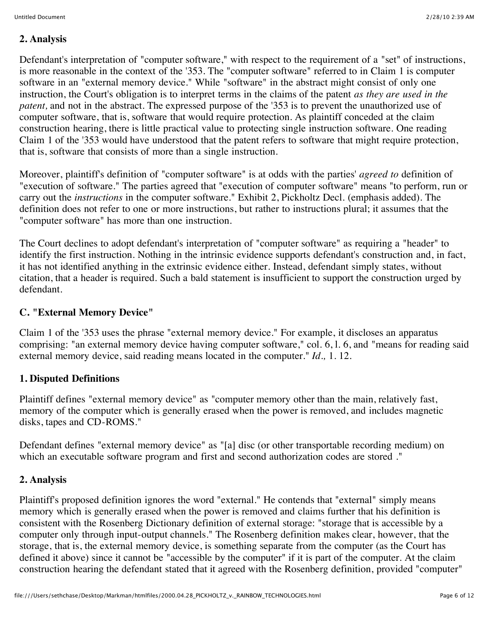### **2. Analysis**

Defendant's interpretation of "computer software," with respect to the requirement of a "set" of instructions, is more reasonable in the context of the '353. The "computer software" referred to in Claim 1 is computer software in an "external memory device." While "software" in the abstract might consist of only one instruction, the Court's obligation is to interpret terms in the claims of the patent *as they are used in the patent,* and not in the abstract. The expressed purpose of the '353 is to prevent the unauthorized use of computer software, that is, software that would require protection. As plaintiff conceded at the claim construction hearing, there is little practical value to protecting single instruction software. One reading Claim 1 of the '353 would have understood that the patent refers to software that might require protection, that is, software that consists of more than a single instruction.

Moreover, plaintiff's definition of "computer software" is at odds with the parties' *agreed to* definition of "execution of software." The parties agreed that "execution of computer software" means "to perform, run or carry out the *instructions* in the computer software." Exhibit 2, Pickholtz Decl. (emphasis added). The definition does not refer to one or more instructions, but rather to instructions plural; it assumes that the "computer software" has more than one instruction.

The Court declines to adopt defendant's interpretation of "computer software" as requiring a "header" to identify the first instruction. Nothing in the intrinsic evidence supports defendant's construction and, in fact, it has not identified anything in the extrinsic evidence either. Instead, defendant simply states, without citation, that a header is required. Such a bald statement is insufficient to support the construction urged by defendant.

### **C. "External Memory Device"**

Claim 1 of the '353 uses the phrase "external memory device." For example, it discloses an apparatus comprising: "an external memory device having computer software," col. 6, l. 6, and "means for reading said external memory device, said reading means located in the computer." *Id.,* 1. 12.

### **1. Disputed Definitions**

Plaintiff defines "external memory device" as "computer memory other than the main, relatively fast, memory of the computer which is generally erased when the power is removed, and includes magnetic disks, tapes and CD-ROMS."

Defendant defines "external memory device" as "[a] disc (or other transportable recording medium) on which an executable software program and first and second authorization codes are stored ."

### **2. Analysis**

Plaintiff's proposed definition ignores the word "external." He contends that "external" simply means memory which is generally erased when the power is removed and claims further that his definition is consistent with the Rosenberg Dictionary definition of external storage: "storage that is accessible by a computer only through input-output channels." The Rosenberg definition makes clear, however, that the storage, that is, the external memory device, is something separate from the computer (as the Court has defined it above) since it cannot be "accessible by the computer" if it is part of the computer. At the claim construction hearing the defendant stated that it agreed with the Rosenberg definition, provided "computer"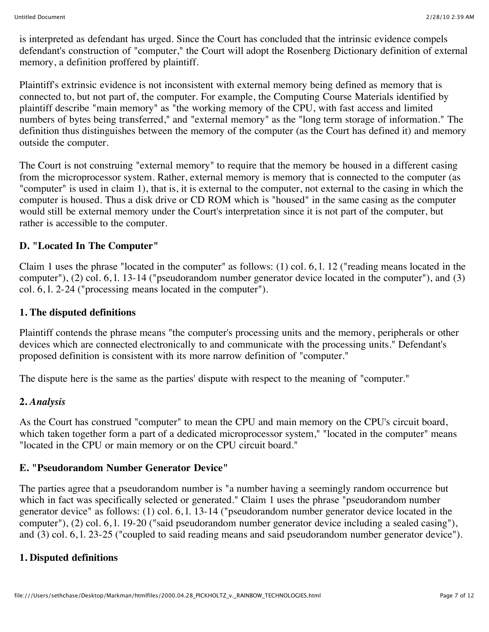is interpreted as defendant has urged. Since the Court has concluded that the intrinsic evidence compels defendant's construction of "computer," the Court will adopt the Rosenberg Dictionary definition of external memory, a definition proffered by plaintiff.

Plaintiff's extrinsic evidence is not inconsistent with external memory being defined as memory that is connected to, but not part of, the computer. For example, the Computing Course Materials identified by plaintiff describe "main memory" as "the working memory of the CPU, with fast access and limited numbers of bytes being transferred," and "external memory" as the "long term storage of information." The definition thus distinguishes between the memory of the computer (as the Court has defined it) and memory outside the computer.

The Court is not construing "external memory" to require that the memory be housed in a different casing from the microprocessor system. Rather, external memory is memory that is connected to the computer (as "computer" is used in claim 1), that is, it is external to the computer, not external to the casing in which the computer is housed. Thus a disk drive or CD ROM which is "housed" in the same casing as the computer would still be external memory under the Court's interpretation since it is not part of the computer, but rather is accessible to the computer.

### **D. "Located In The Computer"**

Claim 1 uses the phrase "located in the computer" as follows: (1) col. 6, l. 12 ("reading means located in the computer"), (2) col. 6, l. 13-14 ("pseudorandom number generator device located in the computer"), and (3) col. 6, l. 2-24 ("processing means located in the computer").

### **1. The disputed definitions**

Plaintiff contends the phrase means "the computer's processing units and the memory, peripherals or other devices which are connected electronically to and communicate with the processing units." Defendant's proposed definition is consistent with its more narrow definition of "computer."

The dispute here is the same as the parties' dispute with respect to the meaning of "computer."

### **2.** *Analysis*

As the Court has construed "computer" to mean the CPU and main memory on the CPU's circuit board, which taken together form a part of a dedicated microprocessor system," "located in the computer" means "located in the CPU or main memory or on the CPU circuit board."

### **E. "Pseudorandom Number Generator Device"**

The parties agree that a pseudorandom number is "a number having a seemingly random occurrence but which in fact was specifically selected or generated." Claim 1 uses the phrase "pseudorandom number generator device" as follows: (1) col. 6, l. 13-14 ("pseudorandom number generator device located in the computer"), (2) col. 6, l. 19-20 ("said pseudorandom number generator device including a sealed casing"), and (3) col. 6, l. 23-25 ("coupled to said reading means and said pseudorandom number generator device").

### **1. Disputed definitions**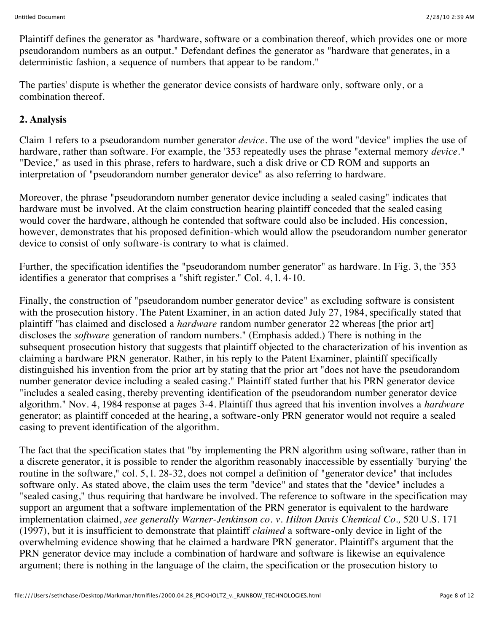Plaintiff defines the generator as "hardware, software or a combination thereof, which provides one or more pseudorandom numbers as an output." Defendant defines the generator as "hardware that generates, in a deterministic fashion, a sequence of numbers that appear to be random."

The parties' dispute is whether the generator device consists of hardware only, software only, or a combination thereof.

## **2. Analysis**

Claim 1 refers to a pseudorandom number generator *device.* The use of the word "device" implies the use of hardware, rather than software. For example, the '353 repeatedly uses the phrase "external memory *device."* "Device," as used in this phrase, refers to hardware, such a disk drive or CD ROM and supports an interpretation of "pseudorandom number generator device" as also referring to hardware.

Moreover, the phrase "pseudorandom number generator device including a sealed casing" indicates that hardware must be involved. At the claim construction hearing plaintiff conceded that the sealed casing would cover the hardware, although he contended that software could also be included. His concession, however, demonstrates that his proposed definition-which would allow the pseudorandom number generator device to consist of only software-is contrary to what is claimed.

Further, the specification identifies the "pseudorandom number generator" as hardware. In Fig. 3, the '353 identifies a generator that comprises a "shift register." Col. 4, l. 4-10.

Finally, the construction of "pseudorandom number generator device" as excluding software is consistent with the prosecution history. The Patent Examiner, in an action dated July 27, 1984, specifically stated that plaintiff "has claimed and disclosed a *hardware* random number generator 22 whereas [the prior art] discloses the *software* generation of random numbers." (Emphasis added.) There is nothing in the subsequent prosecution history that suggests that plaintiff objected to the characterization of his invention as claiming a hardware PRN generator. Rather, in his reply to the Patent Examiner, plaintiff specifically distinguished his invention from the prior art by stating that the prior art "does not have the pseudorandom number generator device including a sealed casing." Plaintiff stated further that his PRN generator device "includes a sealed casing, thereby preventing identification of the pseudorandom number generator device algorithm." Nov. 4, 1984 response at pages 3-4. Plaintiff thus agreed that his invention involves a *hardware* generator; as plaintiff conceded at the hearing, a software-only PRN generator would not require a sealed casing to prevent identification of the algorithm.

The fact that the specification states that "by implementing the PRN algorithm using software, rather than in a discrete generator, it is possible to render the algorithm reasonably inaccessible by essentially 'burying' the routine in the software," col. 5, l. 28-32, does not compel a definition of "generator device" that includes software only. As stated above, the claim uses the term "device" and states that the "device" includes a "sealed casing," thus requiring that hardware be involved. The reference to software in the specification may support an argument that a software implementation of the PRN generator is equivalent to the hardware implementation claimed, *see generally Warner-Jenkinson co. v. Hilton Davis Chemical Co.,* 520 U.S. 171 (1997), but it is insufficient to demonstrate that plaintiff *claimed* a software-only device in light of the overwhelming evidence showing that he claimed a hardware PRN generator. Plaintiff's argument that the PRN generator device may include a combination of hardware and software is likewise an equivalence argument; there is nothing in the language of the claim, the specification or the prosecution history to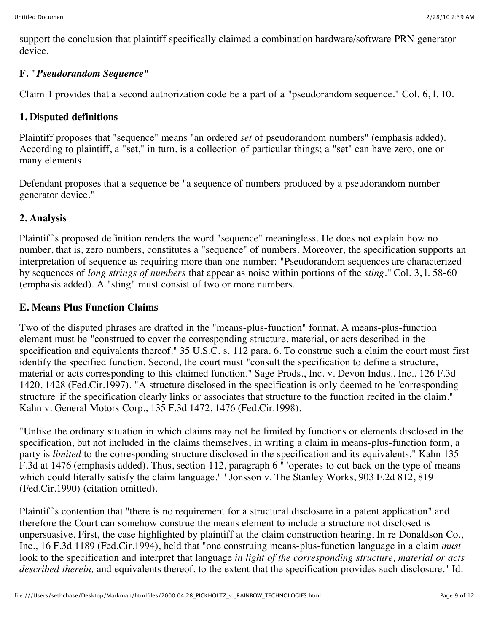support the conclusion that plaintiff specifically claimed a combination hardware/software PRN generator device.

### **F.** *"Pseudorandom Sequence"*

Claim 1 provides that a second authorization code be a part of a "pseudorandom sequence." Col. 6, l. 10.

# **1. Disputed definitions**

Plaintiff proposes that "sequence" means "an ordered *set* of pseudorandom numbers" (emphasis added). According to plaintiff, a "set," in turn, is a collection of particular things; a "set" can have zero, one or many elements.

Defendant proposes that a sequence be "a sequence of numbers produced by a pseudorandom number generator device."

# **2. Analysis**

Plaintiff's proposed definition renders the word "sequence" meaningless. He does not explain how no number, that is, zero numbers, constitutes a "sequence" of numbers. Moreover, the specification supports an interpretation of sequence as requiring more than one number: "Pseudorandom sequences are characterized by sequences of *long strings of numbers* that appear as noise within portions of the *sting."* Col. 3, l. 58-60 (emphasis added). A "sting" must consist of two or more numbers.

### **E. Means Plus Function Claims**

Two of the disputed phrases are drafted in the "means-plus-function" format. A means-plus-function element must be "construed to cover the corresponding structure, material, or acts described in the specification and equivalents thereof." 35 U.S.C. s. 112 para. 6. To construe such a claim the court must first identify the specified function. Second, the court must "consult the specification to define a structure, material or acts corresponding to this claimed function." Sage Prods., Inc. v. Devon Indus., Inc., 126 F.3d 1420, 1428 (Fed.Cir.1997). "A structure disclosed in the specification is only deemed to be 'corresponding structure' if the specification clearly links or associates that structure to the function recited in the claim." Kahn v. General Motors Corp., 135 F.3d 1472, 1476 (Fed.Cir.1998).

"Unlike the ordinary situation in which claims may not be limited by functions or elements disclosed in the specification, but not included in the claims themselves, in writing a claim in means-plus-function form, a party is *limited* to the corresponding structure disclosed in the specification and its equivalents." Kahn 135 F.3d at 1476 (emphasis added). Thus, section 112, paragraph 6 " 'operates to cut back on the type of means which could literally satisfy the claim language." ' Jonsson v. The Stanley Works, 903 F.2d 812, 819 (Fed.Cir.1990) (citation omitted).

Plaintiff's contention that "there is no requirement for a structural disclosure in a patent application" and therefore the Court can somehow construe the means element to include a structure not disclosed is unpersuasive. First, the case highlighted by plaintiff at the claim construction hearing, In re Donaldson Co., Inc., 16 F.3d 1189 (Fed.Cir.1994), held that "one construing means-plus-function language in a claim *must* look to the specification and interpret that language *in light of the corresponding structure, material or acts described therein,* and equivalents thereof, to the extent that the specification provides such disclosure." Id.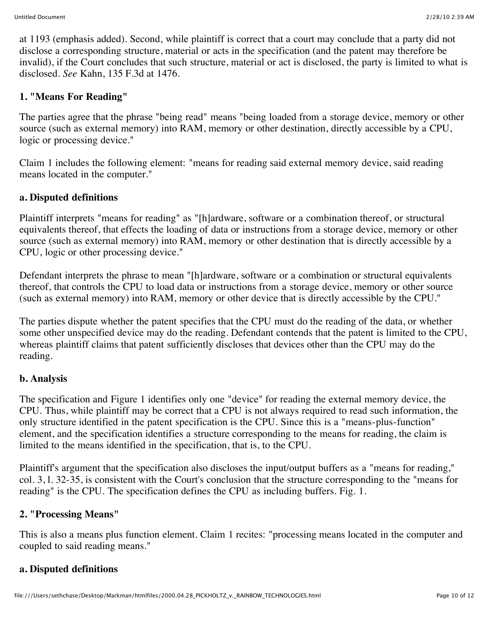at 1193 (emphasis added). Second, while plaintiff is correct that a court may conclude that a party did not disclose a corresponding structure, material or acts in the specification (and the patent may therefore be invalid), if the Court concludes that such structure, material or act is disclosed, the party is limited to what is disclosed. *See* Kahn, 135 F.3d at 1476.

### **1. "Means For Reading"**

The parties agree that the phrase "being read" means "being loaded from a storage device, memory or other source (such as external memory) into RAM, memory or other destination, directly accessible by a CPU, logic or processing device."

Claim 1 includes the following element: "means for reading said external memory device, said reading means located in the computer."

### **a. Disputed definitions**

Plaintiff interprets "means for reading" as "[h]ardware, software or a combination thereof, or structural equivalents thereof, that effects the loading of data or instructions from a storage device, memory or other source (such as external memory) into RAM, memory or other destination that is directly accessible by a CPU, logic or other processing device."

Defendant interprets the phrase to mean "[h]ardware, software or a combination or structural equivalents thereof, that controls the CPU to load data or instructions from a storage device, memory or other source (such as external memory) into RAM, memory or other device that is directly accessible by the CPU."

The parties dispute whether the patent specifies that the CPU must do the reading of the data, or whether some other unspecified device may do the reading. Defendant contends that the patent is limited to the CPU, whereas plaintiff claims that patent sufficiently discloses that devices other than the CPU may do the reading.

### **b. Analysis**

The specification and Figure 1 identifies only one "device" for reading the external memory device, the CPU. Thus, while plaintiff may be correct that a CPU is not always required to read such information, the only structure identified in the patent specification is the CPU. Since this is a "means-plus-function" element, and the specification identifies a structure corresponding to the means for reading, the claim is limited to the means identified in the specification, that is, to the CPU.

Plaintiff's argument that the specification also discloses the input/output buffers as a "means for reading," col. 3, l. 32-35, is consistent with the Court's conclusion that the structure corresponding to the "means for reading" is the CPU. The specification defines the CPU as including buffers. Fig. 1.

### **2. "Processing Means"**

This is also a means plus function element. Claim 1 recites: "processing means located in the computer and coupled to said reading means."

### **a. Disputed definitions**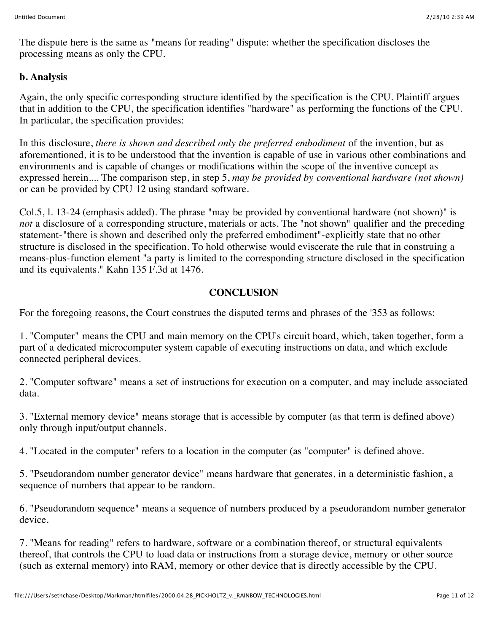The dispute here is the same as "means for reading" dispute: whether the specification discloses the processing means as only the CPU.

## **b. Analysis**

Again, the only specific corresponding structure identified by the specification is the CPU. Plaintiff argues that in addition to the CPU, the specification identifies "hardware" as performing the functions of the CPU. In particular, the specification provides:

In this disclosure, *there is shown and described only the preferred embodiment* of the invention, but as aforementioned, it is to be understood that the invention is capable of use in various other combinations and environments and is capable of changes or modifications within the scope of the inventive concept as expressed herein.... The comparison step, in step 5, *may be provided by conventional hardware (not shown)* or can be provided by CPU 12 using standard software.

Col.5, l. 13-24 (emphasis added). The phrase "may be provided by conventional hardware (not shown)" is *not* a disclosure of a corresponding structure, materials or acts. The "not shown" qualifier and the preceding statement-"there is shown and described only the preferred embodiment"-explicitly state that no other structure is disclosed in the specification. To hold otherwise would eviscerate the rule that in construing a means-plus-function element "a party is limited to the corresponding structure disclosed in the specification and its equivalents." Kahn 135 F.3d at 1476.

## **CONCLUSION**

For the foregoing reasons, the Court construes the disputed terms and phrases of the '353 as follows:

1. "Computer" means the CPU and main memory on the CPU's circuit board, which, taken together, form a part of a dedicated microcomputer system capable of executing instructions on data, and which exclude connected peripheral devices.

2. "Computer software" means a set of instructions for execution on a computer, and may include associated data.

3. "External memory device" means storage that is accessible by computer (as that term is defined above) only through input/output channels.

4. "Located in the computer" refers to a location in the computer (as "computer" is defined above.

5. "Pseudorandom number generator device" means hardware that generates, in a deterministic fashion, a sequence of numbers that appear to be random.

6. "Pseudorandom sequence" means a sequence of numbers produced by a pseudorandom number generator device.

7. "Means for reading" refers to hardware, software or a combination thereof, or structural equivalents thereof, that controls the CPU to load data or instructions from a storage device, memory or other source (such as external memory) into RAM, memory or other device that is directly accessible by the CPU.